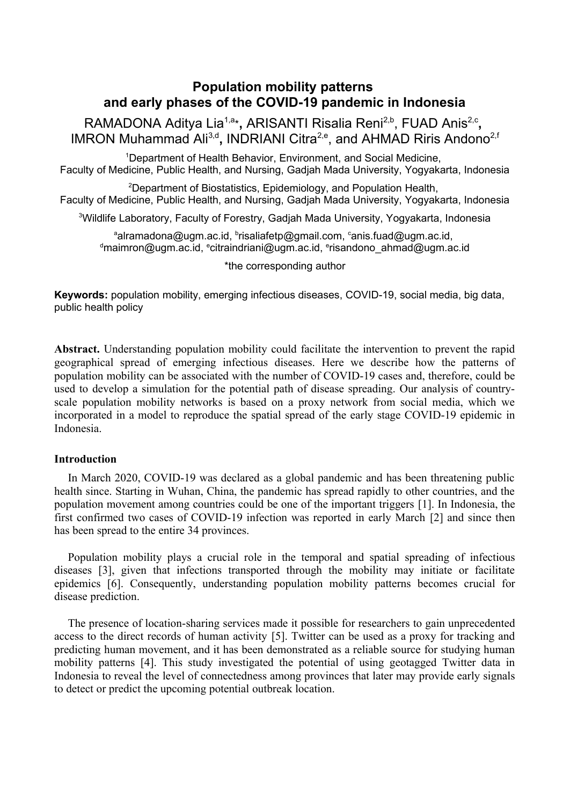# **Population mobility patterns and early phases of the COVID-19 pandemic in Indonesia**

RAMADONA Aditya Lia<sup>1,a</sup>\*, ARISANTI Risalia Reni<sup>2,b</sup>, FUAD Anis<sup>2,c</sup>, IMRON Muhammad Ali<sup>3,d</sup>, INDRIANI Citra<sup>2,e</sup>, and AHMAD Riris Andono<sup>2,f</sup>

<sup>1</sup>Department of Health Behavior, Environment, and Social Medicine, Faculty of Medicine, Public Health, and Nursing, Gadjah Mada University, Yogyakarta, Indonesia

<sup>2</sup>Department of Biostatistics, Epidemiology, and Population Health, Faculty of Medicine, Public Health, and Nursing, Gadjah Mada University, Yogyakarta, Indonesia

<sup>3</sup>Wildlife Laboratory, Faculty of Forestry, Gadjah Mada University, Yogyakarta, Indonesia

<sup>a</sup>alramadona@ugm.ac.id, <sup>b</sup>risaliafetp@gmail.com, <sup>c</sup>anis.fuad@ugm.ac.id, <sup>d</sup>maimron@ugm.ac.id, <sup>e</sup>citraindriani@ugm.ac.id, <sup>e</sup>risandono\_ahmad@ugm.ac.id

\*the corresponding author

**Keywords:** population mobility, emerging infectious diseases, COVID-19, social media, big data, public health policy

**Abstract.** Understanding population mobility could facilitate the intervention to prevent the rapid geographical spread of emerging infectious diseases. Here we describe how the patterns of population mobility can be associated with the number of COVID-19 cases and, therefore, could be used to develop a simulation for the potential path of disease spreading. Our analysis of countryscale population mobility networks is based on a proxy network from social media, which we incorporated in a model to reproduce the spatial spread of the early stage COVID-19 epidemic in Indonesia.

## **Introduction**

In March 2020, COVID-19 was declared as a global pandemic and has been threatening public health since. Starting in Wuhan, China, the pandemic has spread rapidly to other countries, and the population movement among countries could be one of the important triggers [1]. In Indonesia, the first confirmed two cases of COVID-19 infection was reported in early March [2] and since then has been spread to the entire 34 provinces.

Population mobility plays a crucial role in the temporal and spatial spreading of infectious diseases [3], given that infections transported through the mobility may initiate or facilitate epidemics [6]. Consequently, understanding population mobility patterns becomes crucial for disease prediction.

The presence of location-sharing services made it possible for researchers to gain unprecedented access to the direct records of human activity [5]. Twitter can be used as a proxy for tracking and predicting human movement, and it has been demonstrated as a reliable source for studying human mobility patterns [4]. This study investigated the potential of using geotagged Twitter data in Indonesia to reveal the level of connectedness among provinces that later may provide early signals to detect or predict the upcoming potential outbreak location.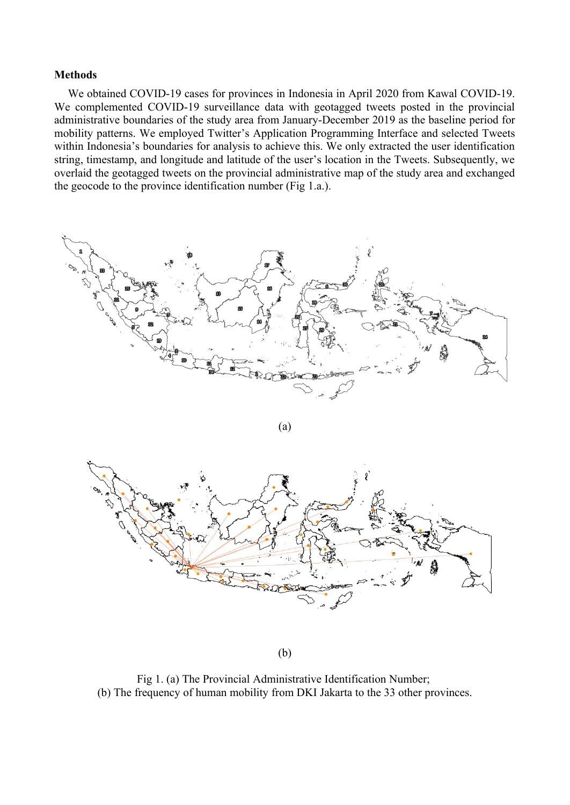#### **Methods**

We obtained COVID-19 cases for provinces in Indonesia in April 2020 from Kawal COVID-19. We complemented COVID-19 surveillance data with geotagged tweets posted in the provincial administrative boundaries of the study area from January-December 2019 as the baseline period for mobility patterns. We employed Twitter's Application Programming Interface and selected Tweets within Indonesia's boundaries for analysis to achieve this. We only extracted the user identification string, timestamp, and longitude and latitude of the user's location in the Tweets. Subsequently, we overlaid the geotagged tweets on the provincial administrative map of the study area and exchanged the geocode to the province identification number (Fig 1.a.).



(a)



(b)

Fig 1. (a) The Provincial Administrative Identification Number; (b) The frequency of human mobility from DKI Jakarta to the 33 other provinces.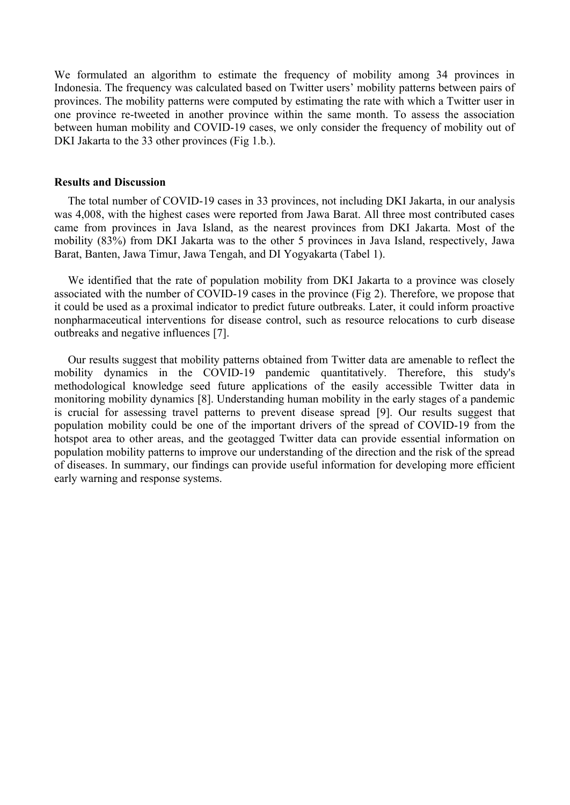We formulated an algorithm to estimate the frequency of mobility among 34 provinces in Indonesia. The frequency was calculated based on Twitter users' mobility patterns between pairs of provinces. The mobility patterns were computed by estimating the rate with which a Twitter user in one province re-tweeted in another province within the same month. To assess the association between human mobility and COVID-19 cases, we only consider the frequency of mobility out of DKI Jakarta to the 33 other provinces (Fig 1.b.).

#### **Results and Discussion**

The total number of COVID-19 cases in 33 provinces, not including DKI Jakarta, in our analysis was 4,008, with the highest cases were reported from Jawa Barat. All three most contributed cases came from provinces in Java Island, as the nearest provinces from DKI Jakarta. Most of the mobility (83%) from DKI Jakarta was to the other 5 provinces in Java Island, respectively, Jawa Barat, Banten, Jawa Timur, Jawa Tengah, and DI Yogyakarta (Tabel 1).

We identified that the rate of population mobility from DKI Jakarta to a province was closely associated with the number of COVID-19 cases in the province (Fig 2). Therefore, we propose that it could be used as a proximal indicator to predict future outbreaks. Later, it could inform proactive nonpharmaceutical interventions for disease control, such as resource relocations to curb disease outbreaks and negative influences [7].

Our results suggest that mobility patterns obtained from Twitter data are amenable to reflect the mobility dynamics in the COVID-19 pandemic quantitatively. Therefore, this study's methodological knowledge seed future applications of the easily accessible Twitter data in monitoring mobility dynamics [8]. Understanding human mobility in the early stages of a pandemic is crucial for assessing travel patterns to prevent disease spread [9]. Our results suggest that population mobility could be one of the important drivers of the spread of COVID-19 from the hotspot area to other areas, and the geotagged Twitter data can provide essential information on population mobility patterns to improve our understanding of the direction and the risk of the spread of diseases. In summary, our findings can provide useful information for developing more efficient early warning and response systems.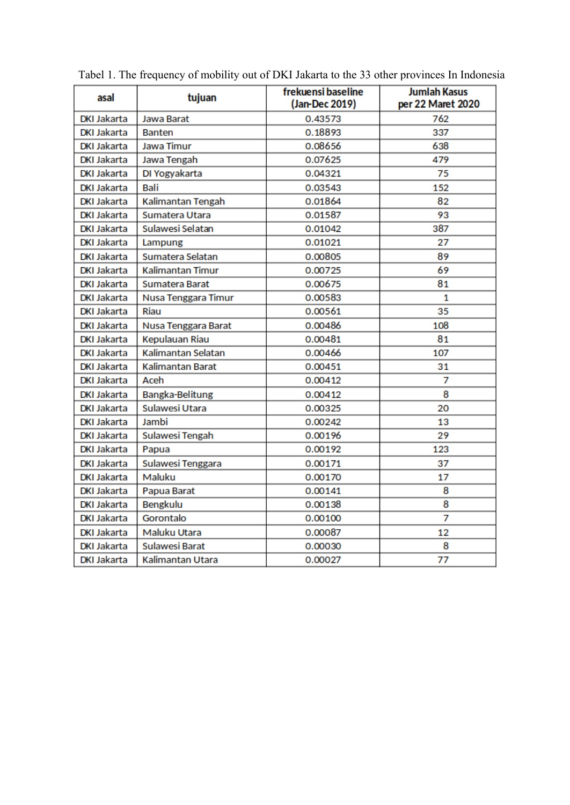| asal               | tujuan                | frekuensi baseline<br>(Jan-Dec 2019) | <b>Jumlah Kasus</b><br>per 22 Maret 2020 |
|--------------------|-----------------------|--------------------------------------|------------------------------------------|
| <b>DKI Jakarta</b> | <b>Jawa Barat</b>     | 0.43573                              | 762                                      |
| <b>DKI Jakarta</b> | <b>Banten</b>         | 0.18893                              | 337                                      |
| <b>DKI Jakarta</b> | Jawa Timur            | 0.08656                              | 638                                      |
| <b>DKI Jakarta</b> | Jawa Tengah           | 0.07625                              | 479                                      |
| <b>DKI Jakarta</b> | DI Yogyakarta         | 0.04321                              | 75                                       |
| <b>DKI Jakarta</b> | Bali                  | 0.03543                              | 152                                      |
| <b>DKI Jakarta</b> | Kalimantan Tengah     | 0.01864                              | 82                                       |
| <b>DKI Jakarta</b> | Sumatera Utara        | 0.01587                              | 93                                       |
| <b>DKI Jakarta</b> | Sulawesi Selatan      | 0.01042                              | 387                                      |
| <b>DKI Jakarta</b> | Lampung               | 0.01021                              | 27                                       |
| <b>DKI Jakarta</b> | Sumatera Selatan      | 0.00805                              | 89                                       |
| <b>DKI Jakarta</b> | Kalimantan Timur      | 0.00725                              | 69                                       |
| <b>DKI Jakarta</b> | Sumatera Barat        | 0.00675                              | 81                                       |
| <b>DKI Jakarta</b> | Nusa Tenggara Timur   | 0.00583                              | 1                                        |
| <b>DKI Jakarta</b> | Riau                  | 0.00561                              | 35                                       |
| <b>DKI Jakarta</b> | Nusa Tenggara Barat   | 0.00486                              | 108                                      |
| <b>DKI Jakarta</b> | Kepulauan Riau        | 0.00481                              | 81                                       |
| <b>DKI Jakarta</b> | Kalimantan Selatan    | 0.00466                              | 107                                      |
| <b>DKI Jakarta</b> | Kalimantan Barat      | 0.00451                              | 31                                       |
| <b>DKI Jakarta</b> | Aceh                  | 0.00412                              | 7                                        |
| <b>DKI Jakarta</b> | Bangka-Belitung       | 0.00412                              | 8                                        |
| <b>DKI Jakarta</b> | Sulawesi Utara        | 0.00325                              | 20                                       |
| <b>DKI Jakarta</b> | Jambi                 | 0.00242                              | 13                                       |
| <b>DKI Jakarta</b> | Sulawesi Tengah       | 0.00196                              | 29                                       |
| <b>DKI Jakarta</b> | Papua                 | 0.00192                              | 123                                      |
| <b>DKI Jakarta</b> | Sulawesi Tenggara     | 0.00171                              | 37                                       |
| <b>DKI Jakarta</b> | Maluku                | 0.00170                              | 17                                       |
| <b>DKI Jakarta</b> | Papua Barat           | 0.00141                              | 8                                        |
| <b>DKI Jakarta</b> | Bengkulu              | 0.00138                              | 8                                        |
| <b>DKI Jakarta</b> | Gorontalo             | 0.00100                              | 7                                        |
| <b>DKI Jakarta</b> | Maluku Utara          | 0.00087                              | 12                                       |
| <b>DKI Jakarta</b> | <b>Sulawesi Barat</b> | 0.00030                              | 8                                        |
| <b>DKI Jakarta</b> | Kalimantan Utara      | 0.00027                              | 77                                       |

Tabel 1. The frequency of mobility out of DKI Jakarta to the 33 other provinces In Indonesia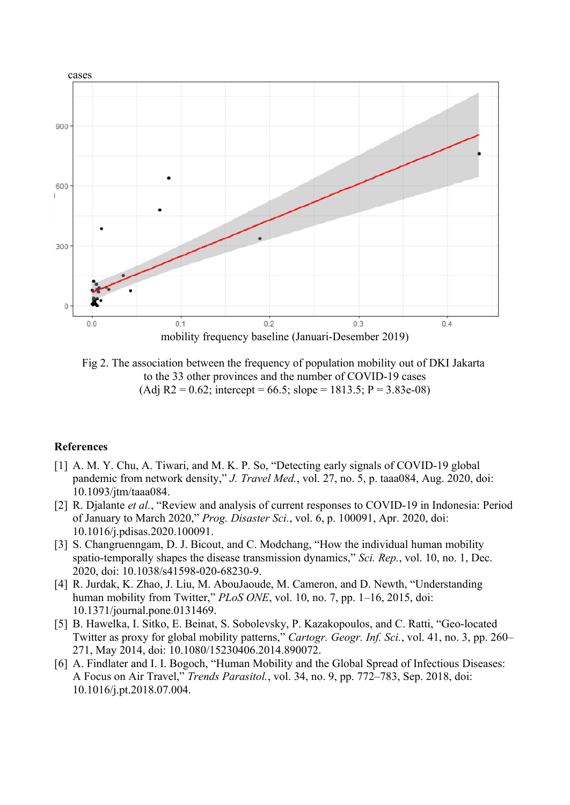

Fig 2. The association between the frequency of population mobility out of DKI Jakarta to the 33 other provinces and the number of COVID-19 cases  $(Adi R2 = 0.62$ ; intercept = 66.5; slope = 1813.5; P = 3.83e-08)

## **References**

- [1] A. M. Y. Chu, A. Tiwari, and M. K. P. So, "Detecting early signals of COVID-19 global pandemic from network density," *J. Travel Med.*, vol. 27, no. 5, p. taaa084, Aug. 2020, doi: 10.1093/jtm/taaa084.
- [2] R. Djalante *et al.*, "Review and analysis of current responses to COVID-19 in Indonesia: Period of January to March 2020," *Prog. Disaster Sci.*, vol. 6, p. 100091, Apr. 2020, doi: 10.1016/j.pdisas.2020.100091.
- [3] S. Changruenngam, D. J. Bicout, and C. Modchang, "How the individual human mobility spatio-temporally shapes the disease transmission dynamics," *Sci. Rep.*, vol. 10, no. 1, Dec. 2020, doi: 10.1038/s41598-020-68230-9.
- [4] R. Jurdak, K. Zhao, J. Liu, M. AbouJaoude, M. Cameron, and D. Newth, "Understanding human mobility from Twitter," *PLoS ONE*, vol. 10, no. 7, pp. 1–16, 2015, doi: 10.1371/journal.pone.0131469.
- [5] B. Hawelka, I. Sitko, E. Beinat, S. Sobolevsky, P. Kazakopoulos, and C. Ratti, "Geo-located Twitter as proxy for global mobility patterns," *Cartogr. Geogr. Inf. Sci.*, vol. 41, no. 3, pp. 260– 271, May 2014, doi: 10.1080/15230406.2014.890072.
- [6] A. Findlater and I. I. Bogoch, "Human Mobility and the Global Spread of Infectious Diseases: A Focus on Air Travel," *Trends Parasitol.*, vol. 34, no. 9, pp. 772–783, Sep. 2018, doi: 10.1016/j.pt.2018.07.004.